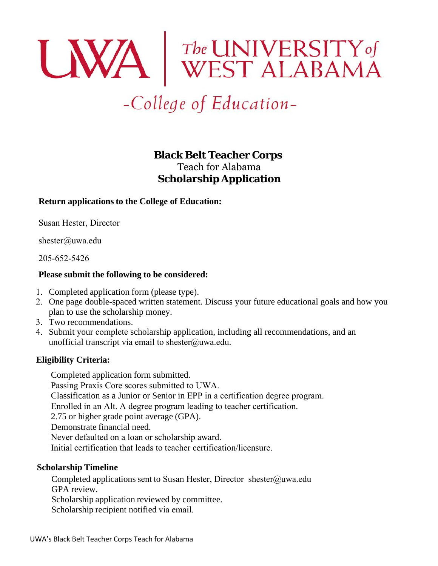# **UNA** WEST ALABAMA

# -College of Education-

# **Black Belt Teacher Corps** Teach for Alabama **Scholarship Application**

# **Return applications to the College of Education:**

Susan Hester, Director

shester@uwa.edu

205-652-5426

# **Please submit the following to be considered:**

- 1. Completed application form (please type).
- 2. One page double-spaced written statement. Discuss your future educational goals and how you plan to use the scholarship money.
- 3. Two recommendations.
- 4. Submit your complete scholarship application, including all recommendations, and an unofficial transcript via email to shester@uwa.edu.

# **Eligibility Criteria:**

Completed application form submitted. Passing Praxis Core scores submitted to UWA. Classification as a Junior or Senior in EPP in a certification degree program. Enrolled in an Alt. A degree program leading to teacher certification. 2.75 or higher grade point average (GPA). Demonstrate financial need. Never defaulted on a loan or scholarship award. Initial certification that leads to teacher certification/licensure.

# **Scholarship Timeline**

Completed applications sent to Susan Hester, Director shester@uwa.edu GPA review. Scholarship application reviewed by committee. Scholarship recipient notified via email.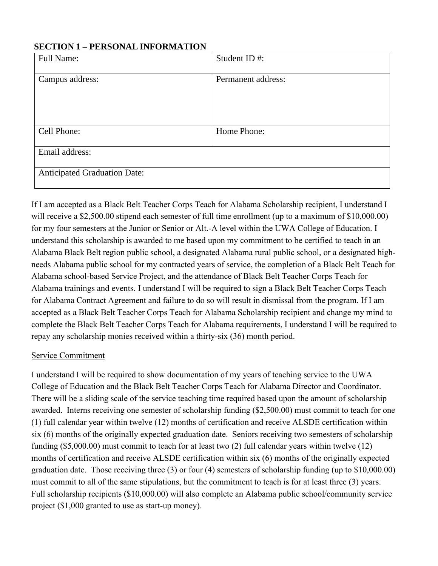# **SECTION 1 – PERSONAL INFORMATION**

| <b>Full Name:</b>                   | Student ID#:       |  |
|-------------------------------------|--------------------|--|
|                                     |                    |  |
| Campus address:                     | Permanent address: |  |
|                                     |                    |  |
|                                     |                    |  |
|                                     |                    |  |
|                                     |                    |  |
|                                     |                    |  |
| Cell Phone:                         | Home Phone:        |  |
|                                     |                    |  |
| Email address:                      |                    |  |
|                                     |                    |  |
| <b>Anticipated Graduation Date:</b> |                    |  |
|                                     |                    |  |
|                                     |                    |  |

If I am accepted as a Black Belt Teacher Corps Teach for Alabama Scholarship recipient, I understand I will receive a \$2,500.00 stipend each semester of full time enrollment (up to a maximum of \$10,000.00) for my four semesters at the Junior or Senior or Alt.-A level within the UWA College of Education. I understand this scholarship is awarded to me based upon my commitment to be certified to teach in an Alabama Black Belt region public school, a designated Alabama rural public school, or a designated highneeds Alabama public school for my contracted years of service, the completion of a Black Belt Teach for Alabama school-based Service Project, and the attendance of Black Belt Teacher Corps Teach for Alabama trainings and events. I understand I will be required to sign a Black Belt Teacher Corps Teach for Alabama Contract Agreement and failure to do so will result in dismissal from the program. If I am accepted as a Black Belt Teacher Corps Teach for Alabama Scholarship recipient and change my mind to complete the Black Belt Teacher Corps Teach for Alabama requirements, I understand I will be required to repay any scholarship monies received within a thirty-six (36) month period.

# Service Commitment

I understand I will be required to show documentation of my years of teaching service to the UWA College of Education and the Black Belt Teacher Corps Teach for Alabama Director and Coordinator. There will be a sliding scale of the service teaching time required based upon the amount of scholarship awarded. Interns receiving one semester of scholarship funding (\$2,500.00) must commit to teach for one (1) full calendar year within twelve (12) months of certification and receive ALSDE certification within six (6) months of the originally expected graduation date. Seniors receiving two semesters of scholarship funding (\$5,000.00) must commit to teach for at least two (2) full calendar years within twelve (12) months of certification and receive ALSDE certification within six (6) months of the originally expected graduation date. Those receiving three (3) or four (4) semesters of scholarship funding (up to \$10,000.00) must commit to all of the same stipulations, but the commitment to teach is for at least three (3) years. Full scholarship recipients (\$10,000.00) will also complete an Alabama public school/community service project (\$1,000 granted to use as start-up money).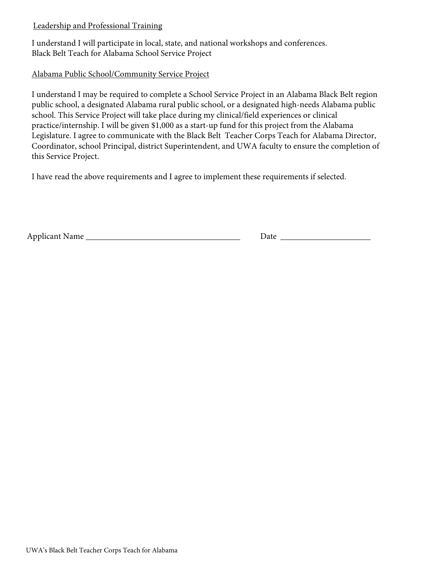# Leadership and Professional Training

I understand I will participate in local, state, and national workshops and conferences. Black Belt Teach for Alabama School Service Project

# Alabama Public School/Community Service Project

I understand I may be required to complete a School Service Project in an Alabama Black Belt region public school, a designated Alabama rural public school, or a designated high-needs Alabama public school. This Service Project will take place during my clinical/field experiences or clinical practice/internship. I will be given \$1,000 as a start-up fund for this project from the Alabama Legislature. I agree to communicate with the Black Belt Teacher Corps Teach for Alabama Director, Coordinator, school Principal, district Superintendent, and UWA faculty to ensure the completion of this Service Project.

I have read the above requirements and I agree to implement these requirements if selected.

Applicant Name \_\_\_\_\_\_\_\_\_\_\_\_\_\_\_\_\_\_\_\_\_\_\_\_\_\_\_\_\_\_\_\_\_\_\_\_ Date \_\_\_\_\_\_\_\_\_\_\_\_\_\_\_\_\_\_\_\_\_